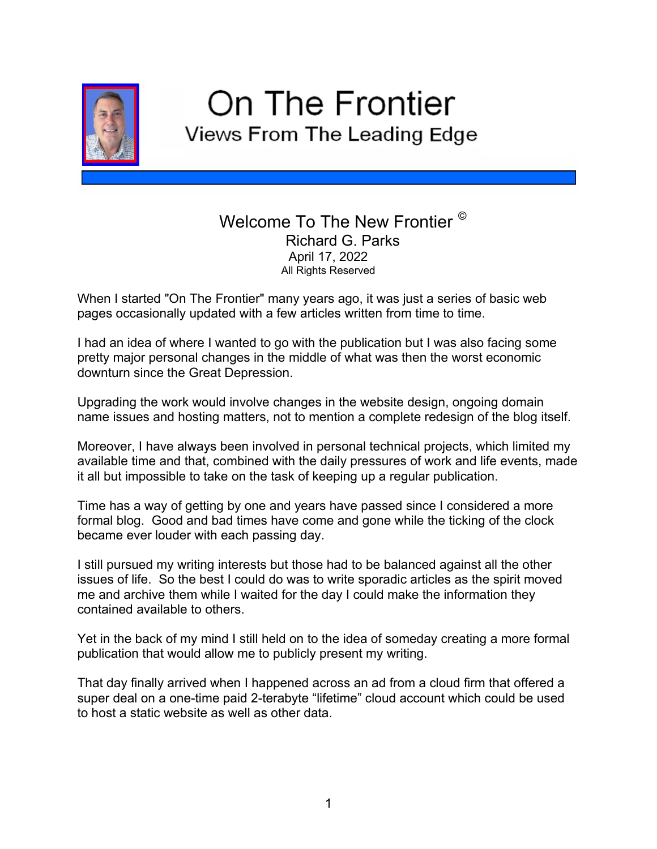

## On The Frontier Views From The Leading Edge

## Welcome To The New Frontier<sup>©</sup> Richard G. Parks April 17, 2022 All Rights Reserved

When I started "On The Frontier" many years ago, it was just a series of basic web pages occasionally updated with a few articles written from time to time.

I had an idea of where I wanted to go with the publication but I was also facing some pretty major personal changes in the middle of what was then the worst economic downturn since the Great Depression.

Upgrading the work would involve changes in the website design, ongoing domain name issues and hosting matters, not to mention a complete redesign of the blog itself.

Moreover, I have always been involved in personal technical projects, which limited my available time and that, combined with the daily pressures of work and life events, made it all but impossible to take on the task of keeping up a regular publication.

Time has a way of getting by one and years have passed since I considered a more formal blog. Good and bad times have come and gone while the ticking of the clock became ever louder with each passing day.

I still pursued my writing interests but those had to be balanced against all the other issues of life. So the best I could do was to write sporadic articles as the spirit moved me and archive them while I waited for the day I could make the information they contained available to others.

Yet in the back of my mind I still held on to the idea of someday creating a more formal publication that would allow me to publicly present my writing.

That day finally arrived when I happened across an ad from a cloud firm that offered a super deal on a one-time paid 2-terabyte "lifetime" cloud account which could be used to host a static website as well as other data.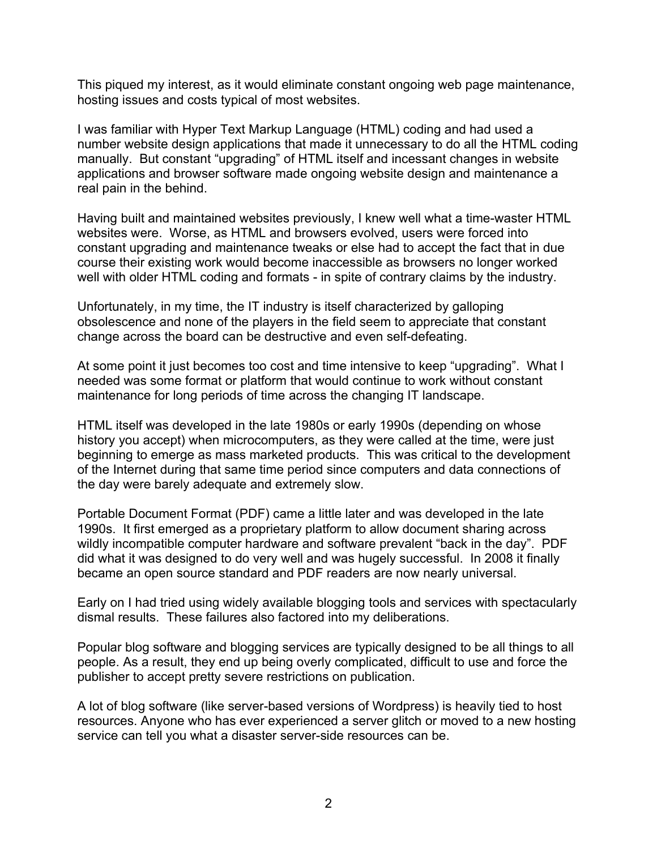This piqued my interest, as it would eliminate constant ongoing web page maintenance, hosting issues and costs typical of most websites.

I was familiar with Hyper Text Markup Language (HTML) coding and had used a number website design applications that made it unnecessary to do all the HTML coding manually. But constant "upgrading" of HTML itself and incessant changes in website applications and browser software made ongoing website design and maintenance a real pain in the behind.

Having built and maintained websites previously, I knew well what a time-waster HTML websites were. Worse, as HTML and browsers evolved, users were forced into constant upgrading and maintenance tweaks or else had to accept the fact that in due course their existing work would become inaccessible as browsers no longer worked well with older HTML coding and formats - in spite of contrary claims by the industry.

Unfortunately, in my time, the IT industry is itself characterized by galloping obsolescence and none of the players in the field seem to appreciate that constant change across the board can be destructive and even self-defeating.

At some point it just becomes too cost and time intensive to keep "upgrading". What I needed was some format or platform that would continue to work without constant maintenance for long periods of time across the changing IT landscape.

HTML itself was developed in the late 1980s or early 1990s (depending on whose history you accept) when microcomputers, as they were called at the time, were just beginning to emerge as mass marketed products. This was critical to the development of the Internet during that same time period since computers and data connections of the day were barely adequate and extremely slow.

Portable Document Format (PDF) came a little later and was developed in the late 1990s. It first emerged as a proprietary platform to allow document sharing across wildly incompatible computer hardware and software prevalent "back in the day". PDF did what it was designed to do very well and was hugely successful. In 2008 it finally became an open source standard and PDF readers are now nearly universal.

Early on I had tried using widely available blogging tools and services with spectacularly dismal results. These failures also factored into my deliberations.

Popular blog software and blogging services are typically designed to be all things to all people. As a result, they end up being overly complicated, difficult to use and force the publisher to accept pretty severe restrictions on publication.

A lot of blog software (like server-based versions of Wordpress) is heavily tied to host resources. Anyone who has ever experienced a server glitch or moved to a new hosting service can tell you what a disaster server-side resources can be.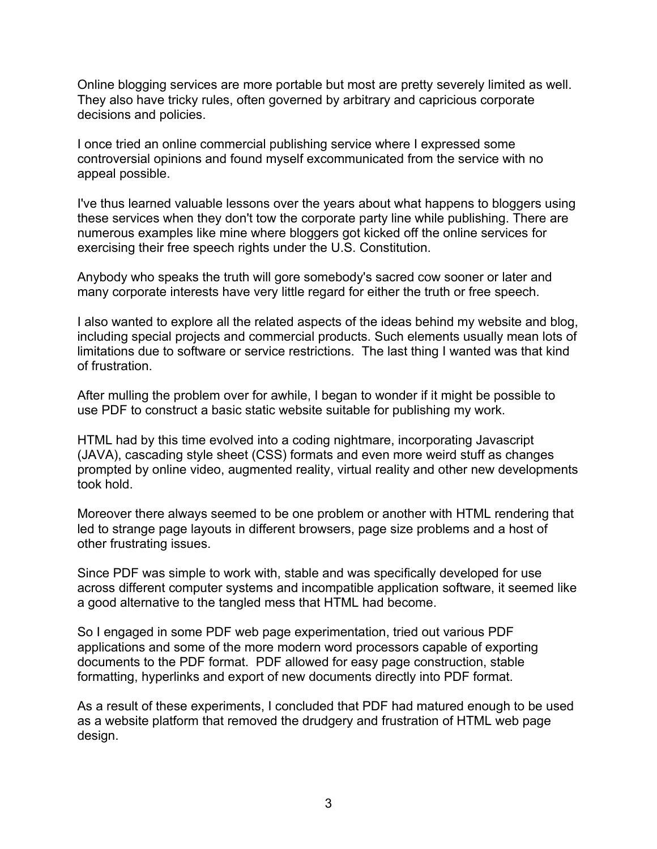Online blogging services are more portable but most are pretty severely limited as well. They also have tricky rules, often governed by arbitrary and capricious corporate decisions and policies.

I once tried an online commercial publishing service where I expressed some controversial opinions and found myself excommunicated from the service with no appeal possible.

I've thus learned valuable lessons over the years about what happens to bloggers using these services when they don't tow the corporate party line while publishing. There are numerous examples like mine where bloggers got kicked off the online services for exercising their free speech rights under the U.S. Constitution.

Anybody who speaks the truth will gore somebody's sacred cow sooner or later and many corporate interests have very little regard for either the truth or free speech.

I also wanted to explore all the related aspects of the ideas behind my website and blog, including special projects and commercial products. Such elements usually mean lots of limitations due to software or service restrictions. The last thing I wanted was that kind of frustration.

After mulling the problem over for awhile, I began to wonder if it might be possible to use PDF to construct a basic static website suitable for publishing my work.

HTML had by this time evolved into a coding nightmare, incorporating Javascript (JAVA), cascading style sheet (CSS) formats and even more weird stuff as changes prompted by online video, augmented reality, virtual reality and other new developments took hold.

Moreover there always seemed to be one problem or another with HTML rendering that led to strange page layouts in different browsers, page size problems and a host of other frustrating issues.

Since PDF was simple to work with, stable and was specifically developed for use across different computer systems and incompatible application software, it seemed like a good alternative to the tangled mess that HTML had become.

So I engaged in some PDF web page experimentation, tried out various PDF applications and some of the more modern word processors capable of exporting documents to the PDF format. PDF allowed for easy page construction, stable formatting, hyperlinks and export of new documents directly into PDF format.

As a result of these experiments, I concluded that PDF had matured enough to be used as a website platform that removed the drudgery and frustration of HTML web page design.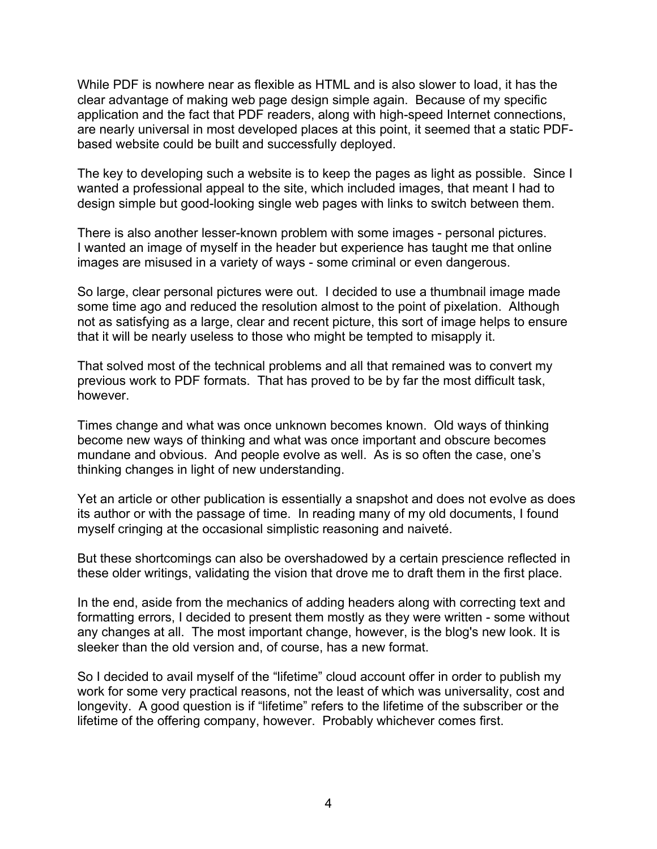While PDF is nowhere near as flexible as HTML and is also slower to load, it has the clear advantage of making web page design simple again. Because of my specific application and the fact that PDF readers, along with high-speed Internet connections, are nearly universal in most developed places at this point, it seemed that a static PDFbased website could be built and successfully deployed.

The key to developing such a website is to keep the pages as light as possible. Since I wanted a professional appeal to the site, which included images, that meant I had to design simple but good-looking single web pages with links to switch between them.

There is also another lesser-known problem with some images - personal pictures. I wanted an image of myself in the header but experience has taught me that online images are misused in a variety of ways - some criminal or even dangerous.

So large, clear personal pictures were out. I decided to use a thumbnail image made some time ago and reduced the resolution almost to the point of pixelation. Although not as satisfying as a large, clear and recent picture, this sort of image helps to ensure that it will be nearly useless to those who might be tempted to misapply it.

That solved most of the technical problems and all that remained was to convert my previous work to PDF formats. That has proved to be by far the most difficult task, however.

Times change and what was once unknown becomes known. Old ways of thinking become new ways of thinking and what was once important and obscure becomes mundane and obvious. And people evolve as well. As is so often the case, one's thinking changes in light of new understanding.

Yet an article or other publication is essentially a snapshot and does not evolve as does its author or with the passage of time. In reading many of my old documents, I found myself cringing at the occasional simplistic reasoning and naiveté.

But these shortcomings can also be overshadowed by a certain prescience reflected in these older writings, validating the vision that drove me to draft them in the first place.

In the end, aside from the mechanics of adding headers along with correcting text and formatting errors, I decided to present them mostly as they were written - some without any changes at all. The most important change, however, is the blog's new look. It is sleeker than the old version and, of course, has a new format.

So I decided to avail myself of the "lifetime" cloud account offer in order to publish my work for some very practical reasons, not the least of which was universality, cost and longevity. A good question is if "lifetime" refers to the lifetime of the subscriber or the lifetime of the offering company, however. Probably whichever comes first.